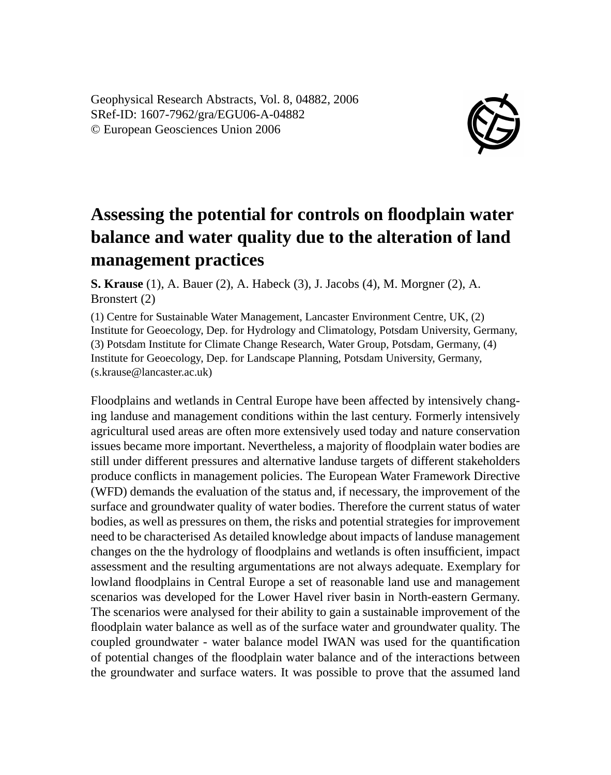Geophysical Research Abstracts, Vol. 8, 04882, 2006 SRef-ID: 1607-7962/gra/EGU06-A-04882 © European Geosciences Union 2006



## **Assessing the potential for controls on floodplain water balance and water quality due to the alteration of land management practices**

**S. Krause** (1), A. Bauer (2), A. Habeck (3), J. Jacobs (4), M. Morgner (2), A. Bronstert (2)

(1) Centre for Sustainable Water Management, Lancaster Environment Centre, UK, (2) Institute for Geoecology, Dep. for Hydrology and Climatology, Potsdam University, Germany, (3) Potsdam Institute for Climate Change Research, Water Group, Potsdam, Germany, (4) Institute for Geoecology, Dep. for Landscape Planning, Potsdam University, Germany, (s.krause@lancaster.ac.uk)

Floodplains and wetlands in Central Europe have been affected by intensively changing landuse and management conditions within the last century. Formerly intensively agricultural used areas are often more extensively used today and nature conservation issues became more important. Nevertheless, a majority of floodplain water bodies are still under different pressures and alternative landuse targets of different stakeholders produce conflicts in management policies. The European Water Framework Directive (WFD) demands the evaluation of the status and, if necessary, the improvement of the surface and groundwater quality of water bodies. Therefore the current status of water bodies, as well as pressures on them, the risks and potential strategies for improvement need to be characterised As detailed knowledge about impacts of landuse management changes on the the hydrology of floodplains and wetlands is often insufficient, impact assessment and the resulting argumentations are not always adequate. Exemplary for lowland floodplains in Central Europe a set of reasonable land use and management scenarios was developed for the Lower Havel river basin in North-eastern Germany. The scenarios were analysed for their ability to gain a sustainable improvement of the floodplain water balance as well as of the surface water and groundwater quality. The coupled groundwater - water balance model IWAN was used for the quantification of potential changes of the floodplain water balance and of the interactions between the groundwater and surface waters. It was possible to prove that the assumed land